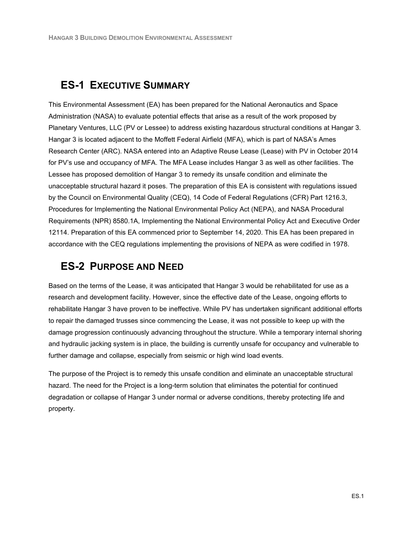# **ES-1 EXECUTIVE SUMMARY**

This Environmental Assessment (EA) has been prepared for the National Aeronautics and Space Administration (NASA) to evaluate potential effects that arise as a result of the work proposed by Planetary Ventures, LLC (PV or Lessee) to address existing hazardous structural conditions at Hangar 3. Hangar 3 is located adjacent to the Moffett Federal Airfield (MFA), which is part of NASA's Ames Research Center (ARC). NASA entered into an Adaptive Reuse Lease (Lease) with PV in October 2014 for PV's use and occupancy of MFA. The MFA Lease includes Hangar 3 as well as other facilities. The Lessee has proposed demolition of Hangar 3 to remedy its unsafe condition and eliminate the unacceptable structural hazard it poses. The preparation of this EA is consistent with regulations issued by the Council on Environmental Quality (CEQ), 14 Code of Federal Regulations (CFR) Part 1216.3, Procedures for Implementing the National Environmental Policy Act (NEPA), and NASA Procedural Requirements (NPR) 8580.1A, Implementing the National Environmental Policy Act and Executive Order 12114. Preparation of this EA commenced prior to September 14, 2020. This EA has been prepared in accordance with the CEQ regulations implementing the provisions of NEPA as were codified in 1978.

## **ES-2 PURPOSE AND NEED**

Based on the terms of the Lease, it was anticipated that Hangar 3 would be rehabilitated for use as a research and development facility. However, since the effective date of the Lease, ongoing efforts to rehabilitate Hangar 3 have proven to be ineffective. While PV has undertaken significant additional efforts to repair the damaged trusses since commencing the Lease, it was not possible to keep up with the damage progression continuously advancing throughout the structure. While a temporary internal shoring and hydraulic jacking system is in place, the building is currently unsafe for occupancy and vulnerable to further damage and collapse, especially from seismic or high wind load events.

The purpose of the Project is to remedy this unsafe condition and eliminate an unacceptable structural hazard. The need for the Project is a long-term solution that eliminates the potential for continued degradation or collapse of Hangar 3 under normal or adverse conditions, thereby protecting life and property.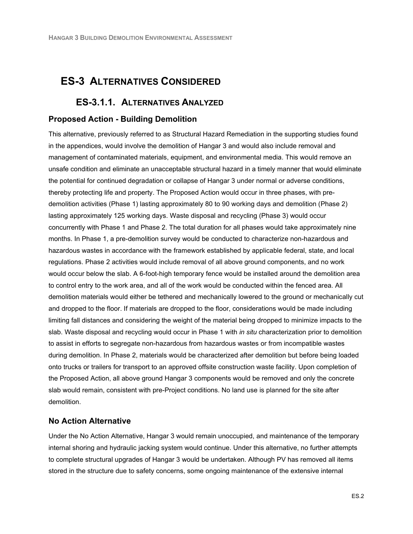### **ES-3 ALTERNATIVES CONSIDERED**

#### **ES-3.1.1. ALTERNATIVES ANALYZED**

#### **Proposed Action - Building Demolition**

This alternative, previously referred to as Structural Hazard Remediation in the supporting studies found in the appendices, would involve the demolition of Hangar 3 and would also include removal and management of contaminated materials, equipment, and environmental media. This would remove an unsafe condition and eliminate an unacceptable structural hazard in a timely manner that would eliminate the potential for continued degradation or collapse of Hangar 3 under normal or adverse conditions, thereby protecting life and property. The Proposed Action would occur in three phases, with predemolition activities (Phase 1) lasting approximately 80 to 90 working days and demolition (Phase 2) lasting approximately 125 working days. Waste disposal and recycling (Phase 3) would occur concurrently with Phase 1 and Phase 2. The total duration for all phases would take approximately nine months. In Phase 1, a pre-demolition survey would be conducted to characterize non-hazardous and hazardous wastes in accordance with the framework established by applicable federal, state, and local regulations. Phase 2 activities would include removal of all above ground components, and no work would occur below the slab. A 6-foot-high temporary fence would be installed around the demolition area to control entry to the work area, and all of the work would be conducted within the fenced area. All demolition materials would either be tethered and mechanically lowered to the ground or mechanically cut and dropped to the floor. If materials are dropped to the floor, considerations would be made including limiting fall distances and considering the weight of the material being dropped to minimize impacts to the slab. Waste disposal and recycling would occur in Phase 1 with *in situ* characterization prior to demolition to assist in efforts to segregate non-hazardous from hazardous wastes or from incompatible wastes during demolition. In Phase 2, materials would be characterized after demolition but before being loaded onto trucks or trailers for transport to an approved offsite construction waste facility. Upon completion of the Proposed Action, all above ground Hangar 3 components would be removed and only the concrete slab would remain, consistent with pre-Project conditions. No land use is planned for the site after demolition.

#### **No Action Alternative**

Under the No Action Alternative, Hangar 3 would remain unoccupied, and maintenance of the temporary internal shoring and hydraulic jacking system would continue. Under this alternative, no further attempts to complete structural upgrades of Hangar 3 would be undertaken. Although PV has removed all items stored in the structure due to safety concerns, some ongoing maintenance of the extensive internal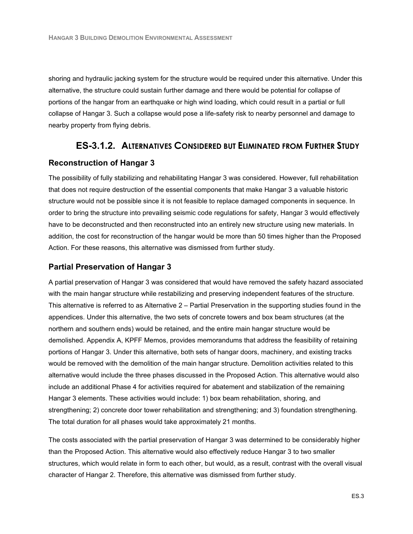shoring and hydraulic jacking system for the structure would be required under this alternative. Under this alternative, the structure could sustain further damage and there would be potential for collapse of portions of the hangar from an earthquake or high wind loading, which could result in a partial or full collapse of Hangar 3. Such a collapse would pose a life-safety risk to nearby personnel and damage to nearby property from flying debris.

#### **ES-3.1.2. ALTERNATIVES CONSIDERED BUT ELIMINATED FROM FURTHER STUDY**

#### **Reconstruction of Hangar 3**

The possibility of fully stabilizing and rehabilitating Hangar 3 was considered. However, full rehabilitation that does not require destruction of the essential components that make Hangar 3 a valuable historic structure would not be possible since it is not feasible to replace damaged components in sequence. In order to bring the structure into prevailing seismic code regulations for safety, Hangar 3 would effectively have to be deconstructed and then reconstructed into an entirely new structure using new materials. In addition, the cost for reconstruction of the hangar would be more than 50 times higher than the Proposed Action. For these reasons, this alternative was dismissed from further study.

#### **Partial Preservation of Hangar 3**

A partial preservation of Hangar 3 was considered that would have removed the safety hazard associated with the main hangar structure while restabilizing and preserving independent features of the structure. This alternative is referred to as Alternative 2 – Partial Preservation in the supporting studies found in the appendices. Under this alternative, the two sets of concrete towers and box beam structures (at the northern and southern ends) would be retained, and the entire main hangar structure would be demolished. Appendix A, KPFF Memos, provides memorandums that address the feasibility of retaining portions of Hangar 3. Under this alternative, both sets of hangar doors, machinery, and existing tracks would be removed with the demolition of the main hangar structure. Demolition activities related to this alternative would include the three phases discussed in the Proposed Action. This alternative would also include an additional Phase 4 for activities required for abatement and stabilization of the remaining Hangar 3 elements. These activities would include: 1) box beam rehabilitation, shoring, and strengthening; 2) concrete door tower rehabilitation and strengthening; and 3) foundation strengthening. The total duration for all phases would take approximately 21 months.

The costs associated with the partial preservation of Hangar 3 was determined to be considerably higher than the Proposed Action. This alternative would also effectively reduce Hangar 3 to two smaller structures, which would relate in form to each other, but would, as a result, contrast with the overall visual character of Hangar 2. Therefore, this alternative was dismissed from further study.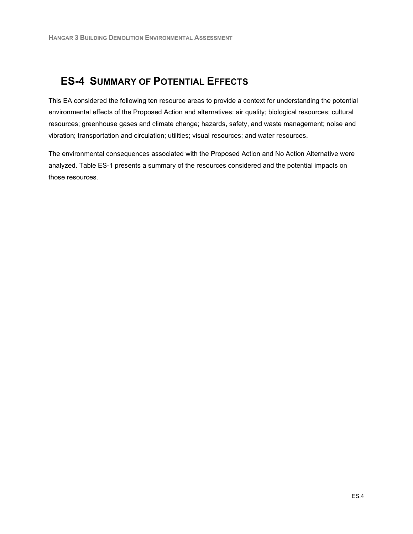# **ES-4 SUMMARY OF POTENTIAL EFFECTS**

This EA considered the following ten resource areas to provide a context for understanding the potential environmental effects of the Proposed Action and alternatives: air quality; biological resources; cultural resources; greenhouse gases and climate change; hazards, safety, and waste management; noise and vibration; transportation and circulation; utilities; visual resources; and water resources.

The environmental consequences associated with the Proposed Action and No Action Alternative were analyzed. Table ES-1 presents a summary of the resources considered and the potential impacts on those resources.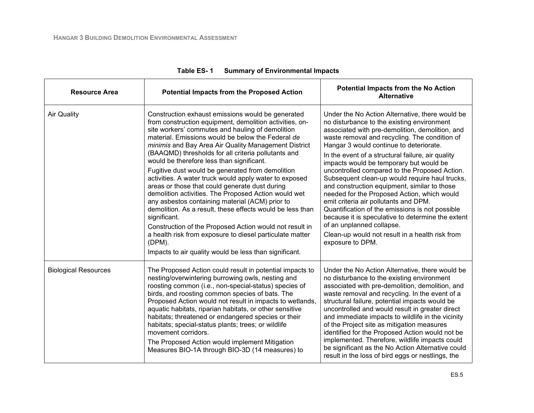| <b>Resource Area</b>        | <b>Potential Impacts from the Proposed Action</b>                                                                                                                                                                                                                                                                                                                                                                                                                                                                                                                                                                                                                                                                                                                                                                                                                                                                                       | <b>Potential Impacts from the No Action</b><br><b>Alternative</b>                                                                                                                                                                                                                                                                                                                                                                                                                                                                                                                                                                                                                                                                                                                                   |
|-----------------------------|-----------------------------------------------------------------------------------------------------------------------------------------------------------------------------------------------------------------------------------------------------------------------------------------------------------------------------------------------------------------------------------------------------------------------------------------------------------------------------------------------------------------------------------------------------------------------------------------------------------------------------------------------------------------------------------------------------------------------------------------------------------------------------------------------------------------------------------------------------------------------------------------------------------------------------------------|-----------------------------------------------------------------------------------------------------------------------------------------------------------------------------------------------------------------------------------------------------------------------------------------------------------------------------------------------------------------------------------------------------------------------------------------------------------------------------------------------------------------------------------------------------------------------------------------------------------------------------------------------------------------------------------------------------------------------------------------------------------------------------------------------------|
| <b>Air Quality</b>          | Construction exhaust emissions would be generated<br>from construction equipment, demolition activities, on-<br>site workers' commutes and hauling of demolition<br>material. Emissions would be below the Federal de<br>minimis and Bay Area Air Quality Management District<br>(BAAQMD) thresholds for all criteria pollutants and<br>would be therefore less than significant.<br>Fugitive dust would be generated from demolition<br>activities. A water truck would apply water to exposed<br>areas or those that could generate dust during<br>demolition activities. The Proposed Action would wet<br>any asbestos containing material (ACM) prior to<br>demolition. As a result, these effects would be less than<br>significant.<br>Construction of the Proposed Action would not result in<br>a health risk from exposure to diesel particulate matter<br>$(DPM)$ .<br>Impacts to air quality would be less than significant. | Under the No Action Alternative, there would be<br>no disturbance to the existing environment<br>associated with pre-demolition, demolition, and<br>waste removal and recycling. The condition of<br>Hangar 3 would continue to deteriorate.<br>In the event of a structural failure, air quality<br>impacts would be temporary but would be<br>uncontrolled compared to the Proposed Action.<br>Subsequent clean-up would require haul trucks,<br>and construction equipment, similar to those<br>needed for the Proposed Action, which would<br>emit criteria air pollutants and DPM.<br>Quantification of the emissions is not possible<br>because it is speculative to determine the extent<br>of an unplanned collapse.<br>Clean-up would not result in a health risk from<br>exposure to DPM. |
| <b>Biological Resources</b> | The Proposed Action could result in potential impacts to<br>nesting/overwintering burrowing owls, nesting and<br>roosting common (i.e., non-special-status) species of<br>birds, and roosting common species of bats. The<br>Proposed Action would not result in impacts to wetlands,<br>aquatic habitats, riparian habitats, or other sensitive<br>habitats; threatened or endangered species or their<br>habitats; special-status plants; trees; or wildlife<br>movement corridors.<br>The Proposed Action would implement Mitigation<br>Measures BIO-1A through BIO-3D (14 measures) to                                                                                                                                                                                                                                                                                                                                              | Under the No Action Alternative, there would be<br>no disturbance to the existing environment<br>associated with pre-demolition, demolition, and<br>waste removal and recycling. In the event of a<br>structural failure, potential impacts would be<br>uncontrolled and would result in greater direct<br>and immediate impacts to wildlife in the vicinity<br>of the Project site as mitigation measures<br>identified for the Proposed Action would not be<br>implemented. Therefore, wildlife impacts could<br>be significant as the No Action Alternative could<br>result in the loss of bird eggs or nestlings, the                                                                                                                                                                           |

| Table ES- 1 | <b>Summary of Environmental Impacts</b> |
|-------------|-----------------------------------------|
|-------------|-----------------------------------------|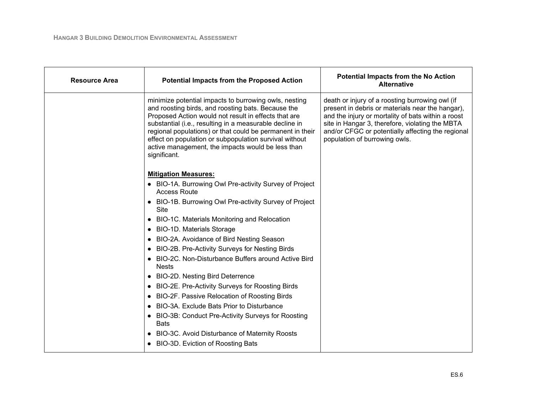| <b>Resource Area</b> | <b>Potential Impacts from the Proposed Action</b>                                                                                                                                                                                                                                                                                                                                                                          | <b>Potential Impacts from the No Action</b><br><b>Alternative</b>                                                                                                                                                                                                                                  |
|----------------------|----------------------------------------------------------------------------------------------------------------------------------------------------------------------------------------------------------------------------------------------------------------------------------------------------------------------------------------------------------------------------------------------------------------------------|----------------------------------------------------------------------------------------------------------------------------------------------------------------------------------------------------------------------------------------------------------------------------------------------------|
|                      | minimize potential impacts to burrowing owls, nesting<br>and roosting birds, and roosting bats. Because the<br>Proposed Action would not result in effects that are<br>substantial (i.e., resulting in a measurable decline in<br>regional populations) or that could be permanent in their<br>effect on population or subpopulation survival without<br>active management, the impacts would be less than<br>significant. | death or injury of a roosting burrowing owl (if<br>present in debris or materials near the hangar),<br>and the injury or mortality of bats within a roost<br>site in Hangar 3, therefore, violating the MBTA<br>and/or CFGC or potentially affecting the regional<br>population of burrowing owls. |
|                      | <b>Mitigation Measures:</b>                                                                                                                                                                                                                                                                                                                                                                                                |                                                                                                                                                                                                                                                                                                    |
|                      | • BIO-1A. Burrowing Owl Pre-activity Survey of Project<br><b>Access Route</b>                                                                                                                                                                                                                                                                                                                                              |                                                                                                                                                                                                                                                                                                    |
|                      | • BIO-1B. Burrowing Owl Pre-activity Survey of Project<br>Site                                                                                                                                                                                                                                                                                                                                                             |                                                                                                                                                                                                                                                                                                    |
|                      | BIO-1C. Materials Monitoring and Relocation                                                                                                                                                                                                                                                                                                                                                                                |                                                                                                                                                                                                                                                                                                    |
|                      | <b>BIO-1D. Materials Storage</b>                                                                                                                                                                                                                                                                                                                                                                                           |                                                                                                                                                                                                                                                                                                    |
|                      | BIO-2A. Avoidance of Bird Nesting Season                                                                                                                                                                                                                                                                                                                                                                                   |                                                                                                                                                                                                                                                                                                    |
|                      | BIO-2B. Pre-Activity Surveys for Nesting Birds                                                                                                                                                                                                                                                                                                                                                                             |                                                                                                                                                                                                                                                                                                    |
|                      | BIO-2C. Non-Disturbance Buffers around Active Bird<br><b>Nests</b>                                                                                                                                                                                                                                                                                                                                                         |                                                                                                                                                                                                                                                                                                    |
|                      | <b>BIO-2D. Nesting Bird Deterrence</b>                                                                                                                                                                                                                                                                                                                                                                                     |                                                                                                                                                                                                                                                                                                    |
|                      | BIO-2E. Pre-Activity Surveys for Roosting Birds                                                                                                                                                                                                                                                                                                                                                                            |                                                                                                                                                                                                                                                                                                    |
|                      | BIO-2F. Passive Relocation of Roosting Birds                                                                                                                                                                                                                                                                                                                                                                               |                                                                                                                                                                                                                                                                                                    |
|                      | BIO-3A. Exclude Bats Prior to Disturbance                                                                                                                                                                                                                                                                                                                                                                                  |                                                                                                                                                                                                                                                                                                    |
|                      | BIO-3B: Conduct Pre-Activity Surveys for Roosting<br><b>Bats</b>                                                                                                                                                                                                                                                                                                                                                           |                                                                                                                                                                                                                                                                                                    |
|                      | BIO-3C. Avoid Disturbance of Maternity Roosts                                                                                                                                                                                                                                                                                                                                                                              |                                                                                                                                                                                                                                                                                                    |
|                      | • BIO-3D. Eviction of Roosting Bats                                                                                                                                                                                                                                                                                                                                                                                        |                                                                                                                                                                                                                                                                                                    |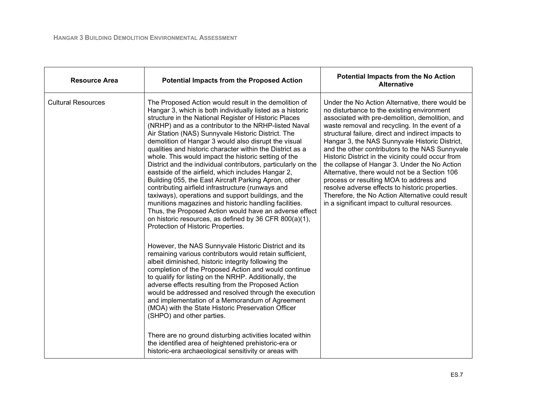| <b>Resource Area</b>      | <b>Potential Impacts from the Proposed Action</b>                                                                                                                                                                                                                                                                                                                                                                                                                                                                                                                                                                                                                                                                                                                                                                                                                                                                                                                                     | <b>Potential Impacts from the No Action</b><br><b>Alternative</b>                                                                                                                                                                                                                                                                                                                                                                                                                                                                                                                                                                                                                                                          |
|---------------------------|---------------------------------------------------------------------------------------------------------------------------------------------------------------------------------------------------------------------------------------------------------------------------------------------------------------------------------------------------------------------------------------------------------------------------------------------------------------------------------------------------------------------------------------------------------------------------------------------------------------------------------------------------------------------------------------------------------------------------------------------------------------------------------------------------------------------------------------------------------------------------------------------------------------------------------------------------------------------------------------|----------------------------------------------------------------------------------------------------------------------------------------------------------------------------------------------------------------------------------------------------------------------------------------------------------------------------------------------------------------------------------------------------------------------------------------------------------------------------------------------------------------------------------------------------------------------------------------------------------------------------------------------------------------------------------------------------------------------------|
| <b>Cultural Resources</b> | The Proposed Action would result in the demolition of<br>Hangar 3, which is both individually listed as a historic<br>structure in the National Register of Historic Places<br>(NRHP) and as a contributor to the NRHP-listed Naval<br>Air Station (NAS) Sunnyvale Historic District. The<br>demolition of Hangar 3 would also disrupt the visual<br>qualities and historic character within the District as a<br>whole. This would impact the historic setting of the<br>District and the individual contributors, particularly on the<br>eastside of the airfield, which includes Hangar 2,<br>Building 055, the East Aircraft Parking Apron, other<br>contributing airfield infrastructure (runways and<br>taxiways), operations and support buildings, and the<br>munitions magazines and historic handling facilities.<br>Thus, the Proposed Action would have an adverse effect<br>on historic resources, as defined by 36 CFR 800(a)(1),<br>Protection of Historic Properties. | Under the No Action Alternative, there would be<br>no disturbance to the existing environment<br>associated with pre-demolition, demolition, and<br>waste removal and recycling. In the event of a<br>structural failure, direct and indirect impacts to<br>Hangar 3, the NAS Sunnyvale Historic District,<br>and the other contributors to the NAS Sunnyvale<br>Historic District in the vicinity could occur from<br>the collapse of Hangar 3. Under the No Action<br>Alternative, there would not be a Section 106<br>process or resulting MOA to address and<br>resolve adverse effects to historic properties.<br>Therefore, the No Action Alternative could result<br>in a significant impact to cultural resources. |
|                           | However, the NAS Sunnyvale Historic District and its<br>remaining various contributors would retain sufficient,<br>albeit diminished, historic integrity following the<br>completion of the Proposed Action and would continue<br>to qualify for listing on the NRHP. Additionally, the<br>adverse effects resulting from the Proposed Action<br>would be addressed and resolved through the execution<br>and implementation of a Memorandum of Agreement<br>(MOA) with the State Historic Preservation Officer<br>(SHPO) and other parties.<br>There are no ground disturbing activities located within<br>the identified area of heightened prehistoric-era or<br>historic-era archaeological sensitivity or areas with                                                                                                                                                                                                                                                             |                                                                                                                                                                                                                                                                                                                                                                                                                                                                                                                                                                                                                                                                                                                            |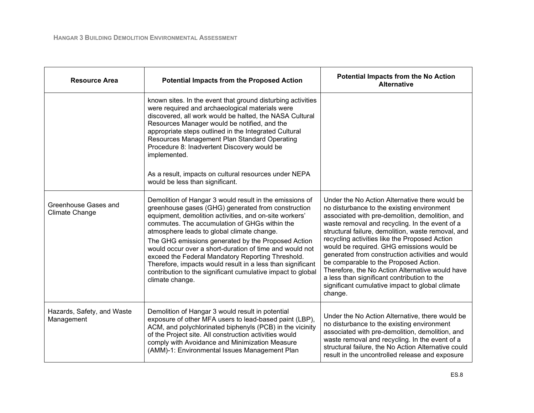| <b>Resource Area</b>                     | <b>Potential Impacts from the Proposed Action</b>                                                                                                                                                                                                                                                                                                                                                                                                                                                                                                                                            | <b>Potential Impacts from the No Action</b><br><b>Alternative</b>                                                                                                                                                                                                                                                                                                                                                                                                                                                                                                                                                  |
|------------------------------------------|----------------------------------------------------------------------------------------------------------------------------------------------------------------------------------------------------------------------------------------------------------------------------------------------------------------------------------------------------------------------------------------------------------------------------------------------------------------------------------------------------------------------------------------------------------------------------------------------|--------------------------------------------------------------------------------------------------------------------------------------------------------------------------------------------------------------------------------------------------------------------------------------------------------------------------------------------------------------------------------------------------------------------------------------------------------------------------------------------------------------------------------------------------------------------------------------------------------------------|
|                                          | known sites. In the event that ground disturbing activities<br>were required and archaeological materials were<br>discovered, all work would be halted, the NASA Cultural<br>Resources Manager would be notified, and the<br>appropriate steps outlined in the Integrated Cultural<br>Resources Management Plan Standard Operating<br>Procedure 8: Inadvertent Discovery would be<br>implemented.<br>As a result, impacts on cultural resources under NEPA<br>would be less than significant.                                                                                                |                                                                                                                                                                                                                                                                                                                                                                                                                                                                                                                                                                                                                    |
| Greenhouse Gases and<br>Climate Change   | Demolition of Hangar 3 would result in the emissions of<br>greenhouse gases (GHG) generated from construction<br>equipment, demolition activities, and on-site workers'<br>commutes. The accumulation of GHGs within the<br>atmosphere leads to global climate change.<br>The GHG emissions generated by the Proposed Action<br>would occur over a short-duration of time and would not<br>exceed the Federal Mandatory Reporting Threshold.<br>Therefore, impacts would result in a less than significant<br>contribution to the significant cumulative impact to global<br>climate change. | Under the No Action Alternative there would be<br>no disturbance to the existing environment<br>associated with pre-demolition, demolition, and<br>waste removal and recycling. In the event of a<br>structural failure, demolition, waste removal, and<br>recycling activities like the Proposed Action<br>would be required. GHG emissions would be<br>generated from construction activities and would<br>be comparable to the Proposed Action.<br>Therefore, the No Action Alternative would have<br>a less than significant contribution to the<br>significant cumulative impact to global climate<br>change. |
| Hazards, Safety, and Waste<br>Management | Demolition of Hangar 3 would result in potential<br>exposure of other MFA users to lead-based paint (LBP),<br>ACM, and polychlorinated biphenyls (PCB) in the vicinity<br>of the Project site. All construction activities would<br>comply with Avoidance and Minimization Measure<br>(AMM)-1: Environmental Issues Management Plan                                                                                                                                                                                                                                                          | Under the No Action Alternative, there would be<br>no disturbance to the existing environment<br>associated with pre-demolition, demolition, and<br>waste removal and recycling. In the event of a<br>structural failure, the No Action Alternative could<br>result in the uncontrolled release and exposure                                                                                                                                                                                                                                                                                                       |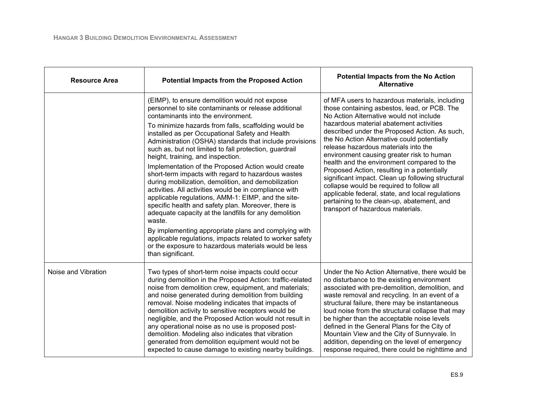| <b>Resource Area</b> | <b>Potential Impacts from the Proposed Action</b>                                                                                                                                                                                                                                                                                                                                                                                                                                                                                                                                                                                                                                                                                                                                                                                                                                                                                                                                                                              | <b>Potential Impacts from the No Action</b><br><b>Alternative</b>                                                                                                                                                                                                                                                                                                                                                                                                                                                                                                                                                                                                                                              |
|----------------------|--------------------------------------------------------------------------------------------------------------------------------------------------------------------------------------------------------------------------------------------------------------------------------------------------------------------------------------------------------------------------------------------------------------------------------------------------------------------------------------------------------------------------------------------------------------------------------------------------------------------------------------------------------------------------------------------------------------------------------------------------------------------------------------------------------------------------------------------------------------------------------------------------------------------------------------------------------------------------------------------------------------------------------|----------------------------------------------------------------------------------------------------------------------------------------------------------------------------------------------------------------------------------------------------------------------------------------------------------------------------------------------------------------------------------------------------------------------------------------------------------------------------------------------------------------------------------------------------------------------------------------------------------------------------------------------------------------------------------------------------------------|
|                      | (EIMP), to ensure demolition would not expose<br>personnel to site contaminants or release additional<br>contaminants into the environment.<br>To minimize hazards from falls, scaffolding would be<br>installed as per Occupational Safety and Health<br>Administration (OSHA) standards that include provisions<br>such as, but not limited to fall protection, guardrail<br>height, training, and inspection.<br>Implementation of the Proposed Action would create<br>short-term impacts with regard to hazardous wastes<br>during mobilization, demolition, and demobilization<br>activities. All activities would be in compliance with<br>applicable regulations, AMM-1: EIMP, and the site-<br>specific health and safety plan. Moreover, there is<br>adequate capacity at the landfills for any demolition<br>waste.<br>By implementing appropriate plans and complying with<br>applicable regulations, impacts related to worker safety<br>or the exposure to hazardous materials would be less<br>than significant. | of MFA users to hazardous materials, including<br>those containing asbestos, lead, or PCB. The<br>No Action Alternative would not include<br>hazardous material abatement activities<br>described under the Proposed Action. As such,<br>the No Action Alternative could potentially<br>release hazardous materials into the<br>environment causing greater risk to human<br>health and the environment compared to the<br>Proposed Action, resulting in a potentially<br>significant impact. Clean up following structural<br>collapse would be required to follow all<br>applicable federal, state, and local regulations<br>pertaining to the clean-up, abatement, and<br>transport of hazardous materials. |
| Noise and Vibration  | Two types of short-term noise impacts could occur<br>during demolition in the Proposed Action: traffic-related<br>noise from demolition crew, equipment, and materials;<br>and noise generated during demolition from building<br>removal. Noise modeling indicates that impacts of<br>demolition activity to sensitive receptors would be<br>negligible, and the Proposed Action would not result in<br>any operational noise as no use is proposed post-<br>demolition. Modeling also indicates that vibration<br>generated from demolition equipment would not be<br>expected to cause damage to existing nearby buildings.                                                                                                                                                                                                                                                                                                                                                                                                 | Under the No Action Alternative, there would be<br>no disturbance to the existing environment<br>associated with pre-demolition, demolition, and<br>waste removal and recycling. In an event of a<br>structural failure, there may be instantaneous<br>loud noise from the structural collapse that may<br>be higher than the acceptable noise levels<br>defined in the General Plans for the City of<br>Mountain View and the City of Sunnyvale. In<br>addition, depending on the level of emergency<br>response required, there could be nighttime and                                                                                                                                                       |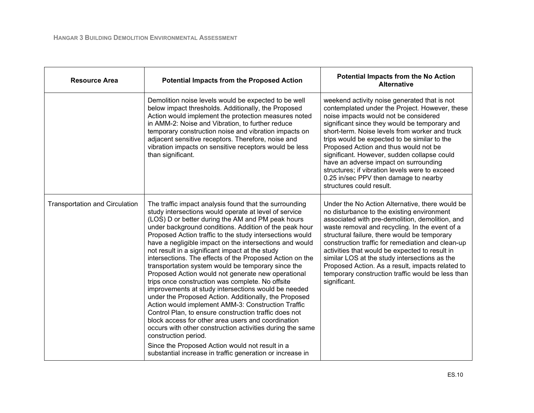| <b>Resource Area</b>                  | <b>Potential Impacts from the Proposed Action</b>                                                                                                                                                                                                                                                                                                                                                                                                                                                                                                                                                                                                                                                                                                                                                                                                                                                                                                                                                                                                                                                                              | <b>Potential Impacts from the No Action</b><br><b>Alternative</b>                                                                                                                                                                                                                                                                                                                                                                                                                                                                                  |
|---------------------------------------|--------------------------------------------------------------------------------------------------------------------------------------------------------------------------------------------------------------------------------------------------------------------------------------------------------------------------------------------------------------------------------------------------------------------------------------------------------------------------------------------------------------------------------------------------------------------------------------------------------------------------------------------------------------------------------------------------------------------------------------------------------------------------------------------------------------------------------------------------------------------------------------------------------------------------------------------------------------------------------------------------------------------------------------------------------------------------------------------------------------------------------|----------------------------------------------------------------------------------------------------------------------------------------------------------------------------------------------------------------------------------------------------------------------------------------------------------------------------------------------------------------------------------------------------------------------------------------------------------------------------------------------------------------------------------------------------|
|                                       | Demolition noise levels would be expected to be well<br>below impact thresholds. Additionally, the Proposed<br>Action would implement the protection measures noted<br>in AMM-2: Noise and Vibration, to further reduce<br>temporary construction noise and vibration impacts on<br>adjacent sensitive receptors. Therefore, noise and<br>vibration impacts on sensitive receptors would be less<br>than significant.                                                                                                                                                                                                                                                                                                                                                                                                                                                                                                                                                                                                                                                                                                          | weekend activity noise generated that is not<br>contemplated under the Project. However, these<br>noise impacts would not be considered<br>significant since they would be temporary and<br>short-term. Noise levels from worker and truck<br>trips would be expected to be similar to the<br>Proposed Action and thus would not be<br>significant. However, sudden collapse could<br>have an adverse impact on surrounding<br>structures; if vibration levels were to exceed<br>0.25 in/sec PPV then damage to nearby<br>structures could result. |
| <b>Transportation and Circulation</b> | The traffic impact analysis found that the surrounding<br>study intersections would operate at level of service<br>(LOS) D or better during the AM and PM peak hours<br>under background conditions. Addition of the peak hour<br>Proposed Action traffic to the study intersections would<br>have a negligible impact on the intersections and would<br>not result in a significant impact at the study<br>intersections. The effects of the Proposed Action on the<br>transportation system would be temporary since the<br>Proposed Action would not generate new operational<br>trips once construction was complete. No offsite<br>improvements at study intersections would be needed<br>under the Proposed Action. Additionally, the Proposed<br>Action would implement AMM-3: Construction Traffic<br>Control Plan, to ensure construction traffic does not<br>block access for other area users and coordination<br>occurs with other construction activities during the same<br>construction period.<br>Since the Proposed Action would not result in a<br>substantial increase in traffic generation or increase in | Under the No Action Alternative, there would be<br>no disturbance to the existing environment<br>associated with pre-demolition, demolition, and<br>waste removal and recycling. In the event of a<br>structural failure, there would be temporary<br>construction traffic for remediation and clean-up<br>activities that would be expected to result in<br>similar LOS at the study intersections as the<br>Proposed Action. As a result, impacts related to<br>temporary construction traffic would be less than<br>significant.                |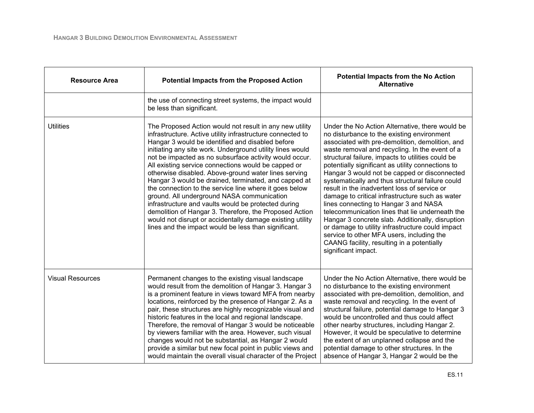| <b>Resource Area</b>    | <b>Potential Impacts from the Proposed Action</b>                                                                                                                                                                                                                                                                                                                                                                                                                                                                                                                                                                                                                                                                                                                                                                     | <b>Potential Impacts from the No Action</b><br><b>Alternative</b>                                                                                                                                                                                                                                                                                                                                                                                                                                                                                                                                                                                                                                                                                                                                                                         |
|-------------------------|-----------------------------------------------------------------------------------------------------------------------------------------------------------------------------------------------------------------------------------------------------------------------------------------------------------------------------------------------------------------------------------------------------------------------------------------------------------------------------------------------------------------------------------------------------------------------------------------------------------------------------------------------------------------------------------------------------------------------------------------------------------------------------------------------------------------------|-------------------------------------------------------------------------------------------------------------------------------------------------------------------------------------------------------------------------------------------------------------------------------------------------------------------------------------------------------------------------------------------------------------------------------------------------------------------------------------------------------------------------------------------------------------------------------------------------------------------------------------------------------------------------------------------------------------------------------------------------------------------------------------------------------------------------------------------|
|                         | the use of connecting street systems, the impact would<br>be less than significant.                                                                                                                                                                                                                                                                                                                                                                                                                                                                                                                                                                                                                                                                                                                                   |                                                                                                                                                                                                                                                                                                                                                                                                                                                                                                                                                                                                                                                                                                                                                                                                                                           |
| <b>Utilities</b>        | The Proposed Action would not result in any new utility<br>infrastructure. Active utility infrastructure connected to<br>Hangar 3 would be identified and disabled before<br>initiating any site work. Underground utility lines would<br>not be impacted as no subsurface activity would occur.<br>All existing service connections would be capped or<br>otherwise disabled. Above-ground water lines serving<br>Hangar 3 would be drained, terminated, and capped at<br>the connection to the service line where it goes below<br>ground. All underground NASA communication<br>infrastructure and vaults would be protected during<br>demolition of Hangar 3. Therefore, the Proposed Action<br>would not disrupt or accidentally damage existing utility<br>lines and the impact would be less than significant. | Under the No Action Alternative, there would be<br>no disturbance to the existing environment<br>associated with pre-demolition, demolition, and<br>waste removal and recycling. In the event of a<br>structural failure, impacts to utilities could be<br>potentially significant as utility connections to<br>Hangar 3 would not be capped or disconnected<br>systematically and thus structural failure could<br>result in the inadvertent loss of service or<br>damage to critical infrastructure such as water<br>lines connecting to Hangar 3 and NASA<br>telecommunication lines that lie underneath the<br>Hangar 3 concrete slab. Additionally, disruption<br>or damage to utility infrastructure could impact<br>service to other MFA users, including the<br>CAANG facility, resulting in a potentially<br>significant impact. |
| <b>Visual Resources</b> | Permanent changes to the existing visual landscape<br>would result from the demolition of Hangar 3. Hangar 3<br>is a prominent feature in views toward MFA from nearby<br>locations, reinforced by the presence of Hangar 2. As a<br>pair, these structures are highly recognizable visual and<br>historic features in the local and regional landscape.<br>Therefore, the removal of Hangar 3 would be noticeable<br>by viewers familiar with the area. However, such visual<br>changes would not be substantial, as Hangar 2 would<br>provide a similar but new focal point in public views and<br>would maintain the overall visual character of the Project                                                                                                                                                       | Under the No Action Alternative, there would be<br>no disturbance to the existing environment<br>associated with pre-demolition, demolition, and<br>waste removal and recycling. In the event of<br>structural failure, potential damage to Hangar 3<br>would be uncontrolled and thus could affect<br>other nearby structures, including Hangar 2.<br>However, it would be speculative to determine<br>the extent of an unplanned collapse and the<br>potential damage to other structures. In the<br>absence of Hangar 3, Hangar 2 would be the                                                                                                                                                                                                                                                                                         |